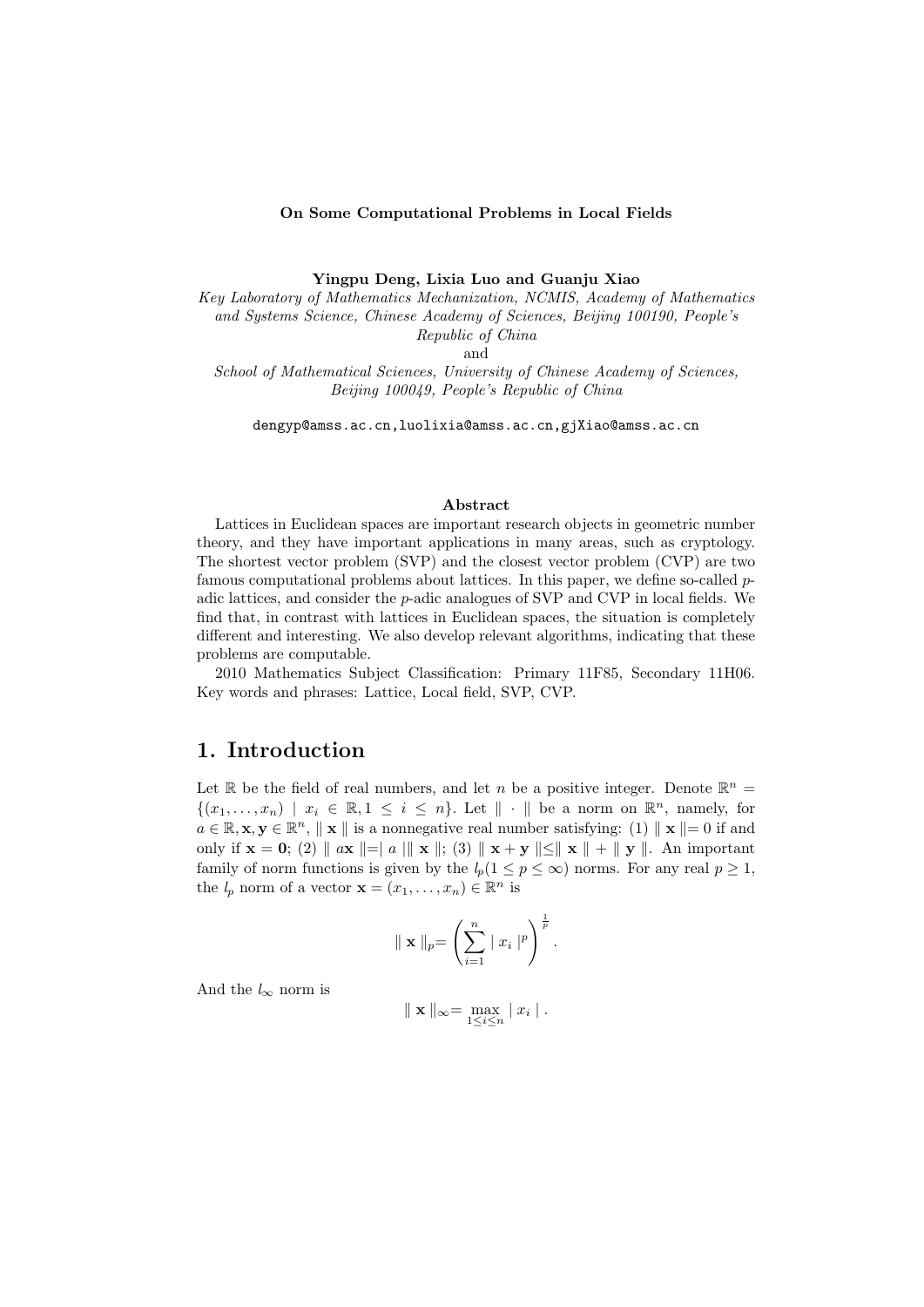#### **On Some Computational Problems in Local Fields**

**Yingpu Deng, Lixia Luo and Guanju Xiao**

*Key Laboratory of Mathematics Mechanization, NCMIS, Academy of Mathematics and Systems Science, Chinese Academy of Sciences, Beijing 100190, People's Republic of China*

and *School of Mathematical Sciences, University of Chinese Academy of Sciences, Beijing 100049, People's Republic of China*

dengyp@amss.ac.cn,luolixia@amss.ac.cn,gjXiao@amss.ac.cn

#### **Abstract**

Lattices in Euclidean spaces are important research objects in geometric number theory, and they have important applications in many areas, such as cryptology. The shortest vector problem (SVP) and the closest vector problem (CVP) are two famous computational problems about lattices. In this paper, we define so-called *p*adic lattices, and consider the *p*-adic analogues of SVP and CVP in local fields. We find that, in contrast with lattices in Euclidean spaces, the situation is completely different and interesting. We also develop relevant algorithms, indicating that these problems are computable.

2010 Mathematics Subject Classification: Primary 11F85, Secondary 11H06. Key words and phrases: Lattice, Local field, SVP, CVP.

#### **1. Introduction**

Let  $\mathbb R$  be the field of real numbers, and let *n* be a positive integer. Denote  $\mathbb R^n$  =  $\{(x_1, \ldots, x_n) \mid x_i \in \mathbb{R}, 1 \leq i \leq n\}$ . Let  $\|\cdot\|$  be a norm on  $\mathbb{R}^n$ , namely, for  $a \in \mathbb{R}, \mathbf{x}, \mathbf{y} \in \mathbb{R}^n$ ,  $\|\mathbf{x}\|$  is a nonnegative real number satisfying: (1)  $\|\mathbf{x}\| = 0$  if and only if  $\mathbf{x} = \mathbf{0}$ ; (2)  $\|\mathbf{a}\mathbf{x}\| = \|a\| \|\mathbf{x}\|$ ; (3)  $\|\mathbf{x} + \mathbf{y}\| \leq \|\mathbf{x}\| + \|\mathbf{y}\|$ . An important family of norm functions is given by the  $l_p(1 \leq p \leq \infty)$  norms. For any real  $p \geq 1$ , the  $l_p$  norm of a vector  $\mathbf{x} = (x_1, \dots, x_n) \in \mathbb{R}^n$  is

$$
\| \mathbf{x} \|_{p} = \left( \sum_{i=1}^{n} | x_{i} |^{p} \right)^{\frac{1}{p}}.
$$

And the  $l_{\infty}$  norm is

$$
\parallel \mathbf{x} \parallel_{\infty} = \max_{1 \leq i \leq n} |x_i|.
$$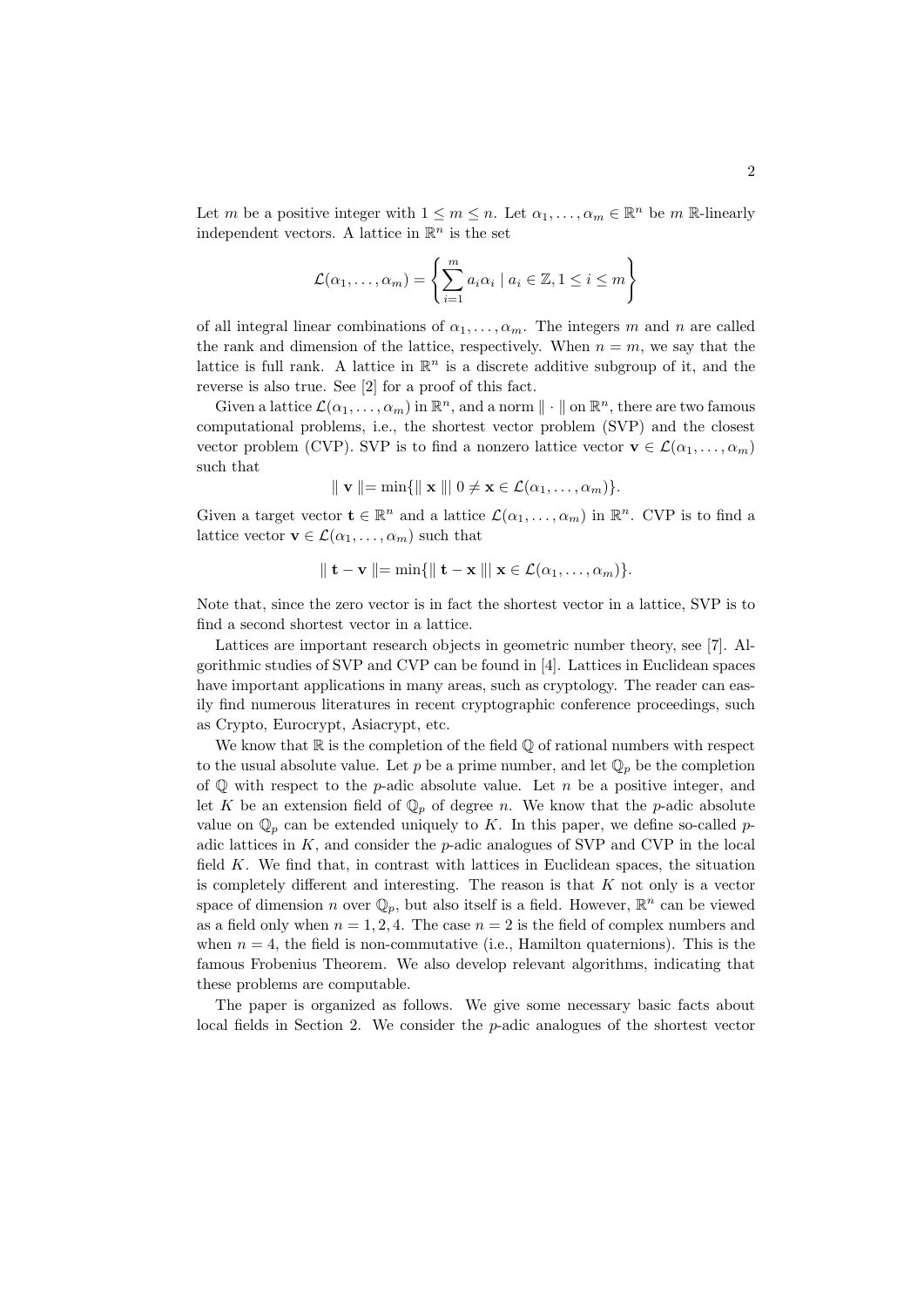Let *m* be a positive integer with  $1 \leq m \leq n$ . Let  $\alpha_1, \ldots, \alpha_m \in \mathbb{R}^n$  be *m* R-linearly independent vectors. A lattice in  $\mathbb{R}^n$  is the set

$$
\mathcal{L}(\alpha_1,\ldots,\alpha_m) = \left\{ \sum_{i=1}^m a_i \alpha_i \mid a_i \in \mathbb{Z}, 1 \leq i \leq m \right\}
$$

of all integral linear combinations of  $\alpha_1, \ldots, \alpha_m$ . The integers *m* and *n* are called the rank and dimension of the lattice, respectively. When  $n = m$ , we say that the lattice is full rank. A lattice in  $\mathbb{R}^n$  is a discrete additive subgroup of it, and the reverse is also true. See [2] for a proof of this fact.

Given a lattice  $\mathcal{L}(\alpha_1, \ldots, \alpha_m)$  in  $\mathbb{R}^n$ , and a norm  $\|\cdot\|$  on  $\mathbb{R}^n$ , there are two famous computational problems, i.e., the shortest vector problem (SVP) and the closest vector problem (CVP). SVP is to find a nonzero lattice vector  $\mathbf{v} \in \mathcal{L}(\alpha_1, \dots, \alpha_m)$ such that

$$
\parallel \mathbf{v} \parallel = \min \{ \parallel \mathbf{x} \parallel \parallel 0 \neq \mathbf{x} \in \mathcal{L}(\alpha_1, \ldots, \alpha_m) \}.
$$

Given a target vector  $\mathbf{t} \in \mathbb{R}^n$  and a lattice  $\mathcal{L}(\alpha_1, \dots, \alpha_m)$  in  $\mathbb{R}^n$ . CVP is to find a lattice vector  $\mathbf{v} \in \mathcal{L}(\alpha_1, \dots, \alpha_m)$  such that

$$
\parallel \mathbf{t} - \mathbf{v} \parallel = \min \{ \parallel \mathbf{t} - \mathbf{x} \parallel \parallel \mathbf{x} \in \mathcal{L}(\alpha_1, \dots, \alpha_m) \}.
$$

Note that, since the zero vector is in fact the shortest vector in a lattice, SVP is to find a second shortest vector in a lattice.

Lattices are important research objects in geometric number theory, see [7]. Algorithmic studies of SVP and CVP can be found in [4]. Lattices in Euclidean spaces have important applications in many areas, such as cryptology. The reader can easily find numerous literatures in recent cryptographic conference proceedings, such as Crypto, Eurocrypt, Asiacrypt, etc.

We know that  $\mathbb R$  is the completion of the field  $\mathbb Q$  of rational numbers with respect to the usual absolute value. Let p be a prime number, and let  $\mathbb{Q}_p$  be the completion of Q with respect to the *p*-adic absolute value. Let *n* be a positive integer, and let *K* be an extension field of  $\mathbb{Q}_p$  of degree *n*. We know that the *p*-adic absolute value on  $\mathbb{Q}_p$  can be extended uniquely to *K*. In this paper, we define so-called *p*adic lattices in *K*, and consider the *p*-adic analogues of SVP and CVP in the local field *K*. We find that, in contrast with lattices in Euclidean spaces, the situation is completely different and interesting. The reason is that *K* not only is a vector space of dimension *n* over  $\mathbb{Q}_p$ , but also itself is a field. However,  $\mathbb{R}^n$  can be viewed as a field only when  $n = 1, 2, 4$ . The case  $n = 2$  is the field of complex numbers and when  $n = 4$ , the field is non-commutative (i.e., Hamilton quaternions). This is the famous Frobenius Theorem. We also develop relevant algorithms, indicating that these problems are computable.

The paper is organized as follows. We give some necessary basic facts about local fields in Section 2. We consider the *p*-adic analogues of the shortest vector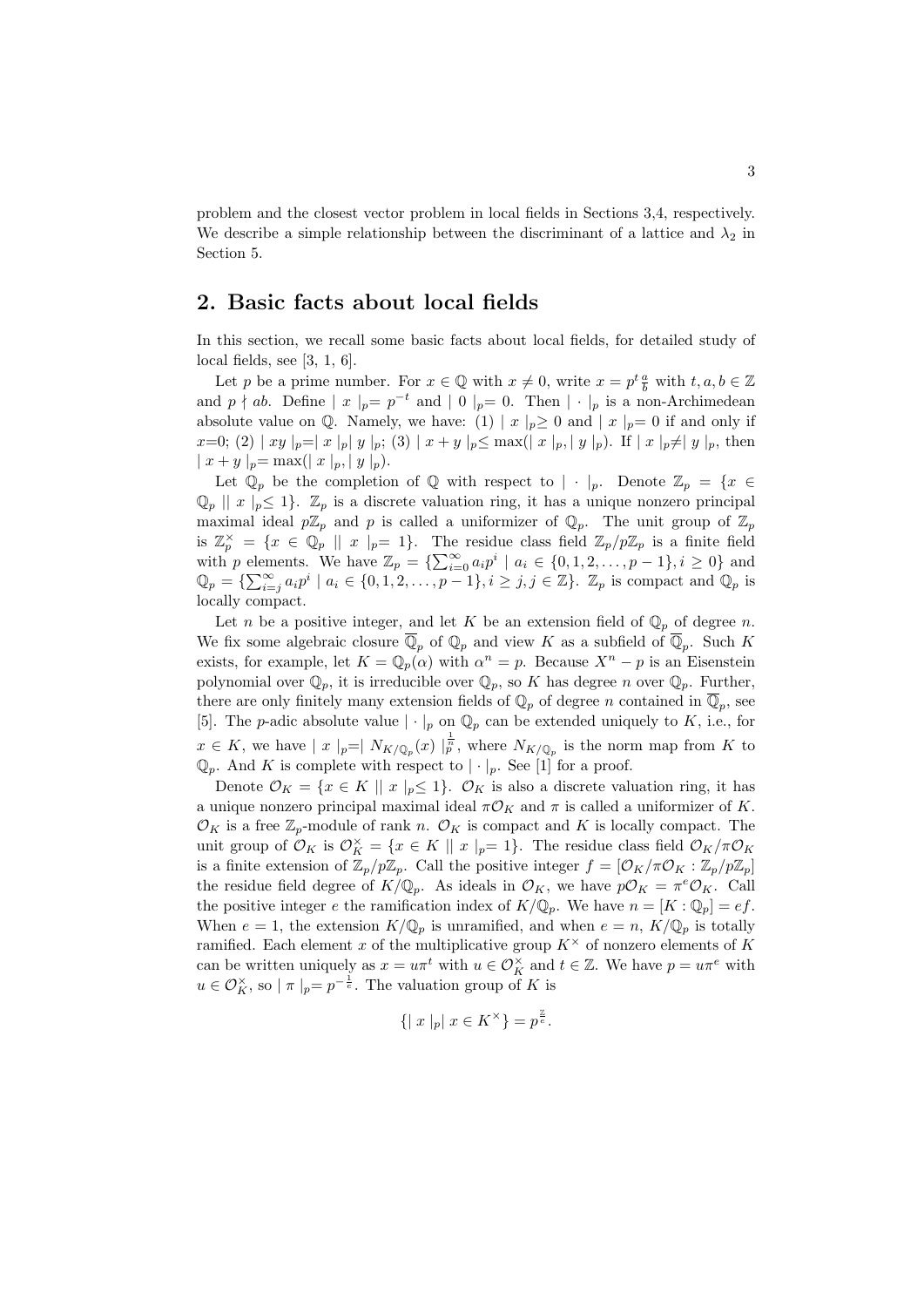problem and the closest vector problem in local fields in Sections 3,4, respectively. We describe a simple relationship between the discriminant of a lattice and  $\lambda_2$  in Section 5.

# **2. Basic facts about local fields**

In this section, we recall some basic facts about local fields, for detailed study of local fields, see [3, 1, 6].

Let *p* be a prime number. For  $x \in \mathbb{Q}$  with  $x \neq 0$ , write  $x = p^t \frac{a}{b}$  with  $t, a, b \in \mathbb{Z}$ and  $p \nmid ab$ . Define  $|x|_p = p^{-t}$  and  $|0|_p = 0$ . Then  $| \cdot |_p$  is a non-Archimedean absolute value on Q. Namely, we have: (1)  $|x|_p \ge 0$  and  $|x|_p = 0$  if and only if  $x=0$ ; (2) | xy |<sub>p</sub>=| x |<sub>p</sub>| y |<sub>p</sub>; (3) | x + y |<sub>p</sub> \le max(| x |<sub>p</sub>,| y |<sub>p</sub>). If | x |<sub>p</sub>\peq y |<sub>p</sub>, then  $|x + y|_{p} = \max(|x|_{p}, |y|_{p}).$ 

Let  $\mathbb{Q}_p$  be the completion of  $\mathbb{Q}$  with respect to  $| \cdot |_p$ . Denote  $\mathbb{Z}_p = \{x \in$  $\mathbb{Q}_p \parallel x \mid_p \leq 1$ .  $\mathbb{Z}_p$  is a discrete valuation ring, it has a unique nonzero principal maximal ideal  $p\mathbb{Z}_p$  and p is called a uniformizer of  $\mathbb{Q}_p$ . The unit group of  $\mathbb{Z}_p$ is  $\mathbb{Z}_p^{\times} = \{x \in \mathbb{Q}_p \mid |x|_p=1\}$ . The residue class field  $\mathbb{Z}_p/p\mathbb{Z}_p$  is a finite field with p elements. We have  $\mathbb{Z}_p = \{\sum_{i=0}^{\infty} a_i p^i \mid a_i \in \{0, 1, 2, \ldots, p-1\}, i \geq 0\}$  and  $\mathbb{Q}_p = \{\sum_{i=j}^{\infty} a_i p^i \mid a_i \in \{0, 1, 2, \dots, p-1\}, i \ge j, j \in \mathbb{Z}\}\.$   $\mathbb{Z}_p$  is compact and  $\mathbb{Q}_p$  is locally compact.

Let *n* be a positive integer, and let *K* be an extension field of  $\mathbb{Q}_p$  of degree *n*. We fix some algebraic closure  $\mathbb{Q}_p$  of  $\mathbb{Q}_p$  and view *K* as a subfield of  $\mathbb{Q}_p$ . Such *K* exists, for example, let  $K = \mathbb{Q}_p(\alpha)$  with  $\alpha^n = p$ . Because  $X^n - p$  is an Eisenstein polynomial over  $\mathbb{Q}_p$ , it is irreducible over  $\mathbb{Q}_p$ , so *K* has degree *n* over  $\mathbb{Q}_p$ . Further, there are only finitely many extension fields of  $\mathbb{Q}_p$  of degree *n* contained in  $\mathbb{Q}_p$ , see [5]. The *p*-adic absolute value  $| \cdot |_p$  on  $\mathbb{Q}_p$  can be extended uniquely to *K*, i.e., for  $x \in K$ , we have  $|x|_p = |N_{K/\mathbb{Q}_p}(x)|_p^{\frac{1}{p}}$ , where  $N_{K/\mathbb{Q}_p}$  is the norm map from *K* to  $\mathbb{Q}_p$ . And *K* is complete with respect to  $|\cdot|_p$ . See [1] for a proof.

Denote  $\mathcal{O}_K = \{x \in K \mid x \mid p \leq 1\}$ .  $\mathcal{O}_K$  is also a discrete valuation ring, it has a unique nonzero principal maximal ideal  $π\mathcal{O}_K$  and  $π$  is called a uniformizer of *K*.  $\mathcal{O}_K$  is a free  $\mathbb{Z}_p$ -module of rank *n*.  $\mathcal{O}_K$  is compact and *K* is locally compact. The unit group of  $\mathcal{O}_K$  is  $\mathcal{O}_K^{\times} = \{x \in K \mid x \mid p=1\}$ . The residue class field  $\mathcal{O}_K/\pi\mathcal{O}_K$ is a finite extension of  $\mathbb{Z}_p/p\mathbb{Z}_p$ . Call the positive integer  $f = [\mathcal{O}_K/\pi\mathcal{O}_K : \mathbb{Z}_p/p\mathbb{Z}_p]$ the residue field degree of  $K/\mathbb{Q}_p$ . As ideals in  $\mathcal{O}_K$ , we have  $p\mathcal{O}_K = \pi^e \mathcal{O}_K$ . Call the positive integer *e* the ramification index of  $K/\mathbb{Q}_p$ . We have  $n = [K : \mathbb{Q}_p] = ef$ . When  $e = 1$ , the extension  $K/\mathbb{Q}_p$  is unramified, and when  $e = n$ ,  $K/\mathbb{Q}_p$  is totally ramified. Each element *x* of the multiplicative group  $K^{\times}$  of nonzero elements of *K* can be written uniquely as  $x = u\pi^t$  with  $u \in \mathcal{O}_K^{\times}$  and  $t \in \mathbb{Z}$ . We have  $p = u\pi^e$  with  $u \in \mathcal{O}_K^{\times}$ , so  $| \pi |_{p} = p^{-\frac{1}{e}}$ . The valuation group of *K* is

$$
\{ |x|_p | x \in K^\times \} = p^{\frac{\mathbb{Z}}{e}}.
$$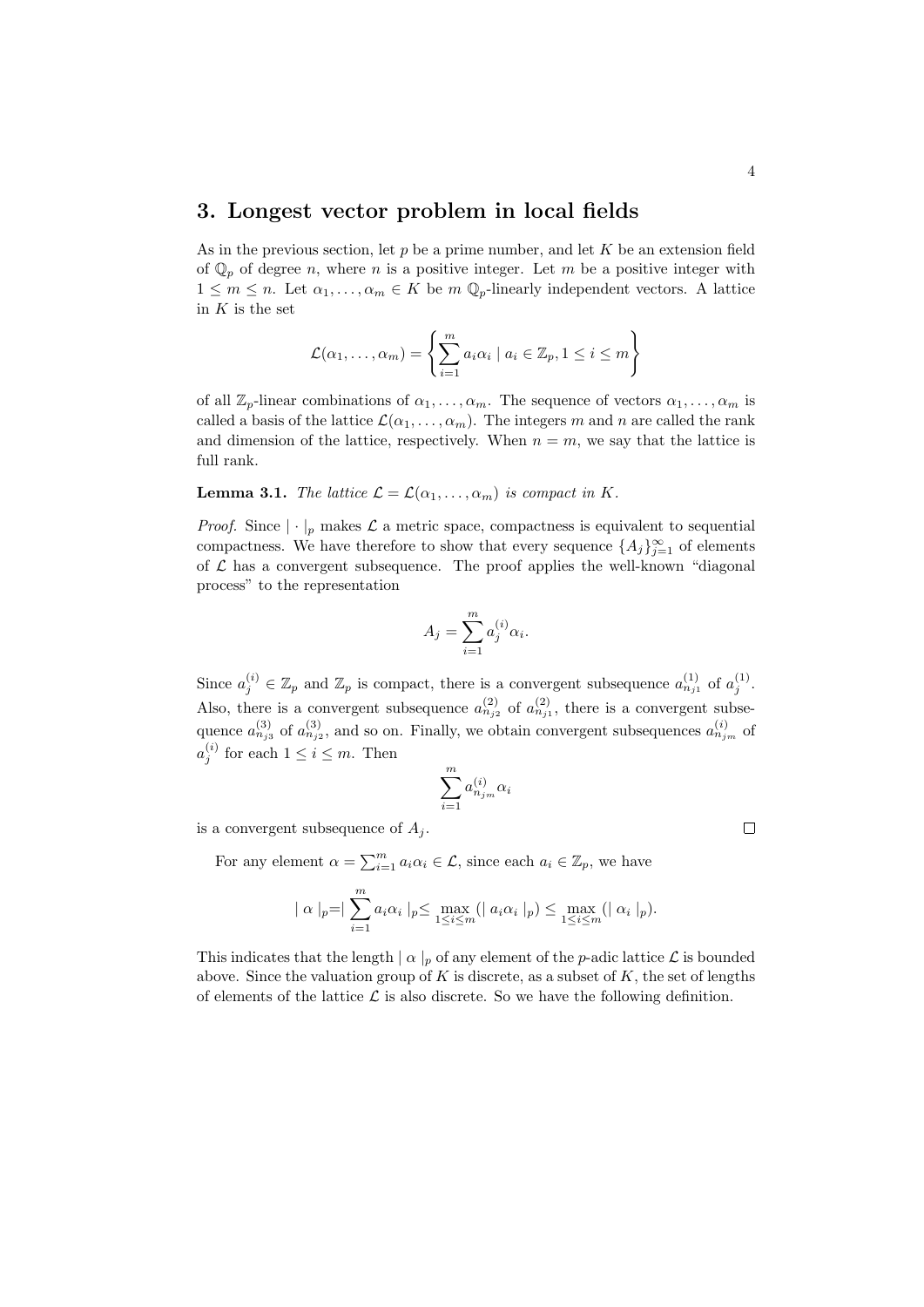## **3. Longest vector problem in local fields**

As in the previous section, let *p* be a prime number, and let *K* be an extension field of  $\mathbb{Q}_p$  of degree *n*, where *n* is a positive integer. Let *m* be a positive integer with  $1 \leq m \leq n$ . Let  $\alpha_1, \ldots, \alpha_m \in K$  be  $m \mathbb{Q}_p$ -linearly independent vectors. A lattice in *K* is the set

$$
\mathcal{L}(\alpha_1,\ldots,\alpha_m) = \left\{ \sum_{i=1}^m a_i \alpha_i \mid a_i \in \mathbb{Z}_p, 1 \le i \le m \right\}
$$

of all  $\mathbb{Z}_p$ -linear combinations of  $\alpha_1, \ldots, \alpha_m$ . The sequence of vectors  $\alpha_1, \ldots, \alpha_m$  is called a basis of the lattice  $\mathcal{L}(\alpha_1, \ldots, \alpha_m)$ . The integers *m* and *n* are called the rank and dimension of the lattice, respectively. When  $n = m$ , we say that the lattice is full rank.

**Lemma 3.1.** *The lattice*  $\mathcal{L} = \mathcal{L}(\alpha_1, \dots, \alpha_m)$  *is compact in K.* 

*Proof.* Since  $|\cdot|_p$  makes  $\mathcal L$  a metric space, compactness is equivalent to sequential compactness. We have therefore to show that every sequence  $\{A_j\}_{j=1}^{\infty}$  of elements of  $L$  has a convergent subsequence. The proof applies the well-known "diagonal" process" to the representation

$$
A_j = \sum_{i=1}^m a_j^{(i)} \alpha_i.
$$

Since  $a_j^{(i)} \in \mathbb{Z}_p$  and  $\mathbb{Z}_p$  is compact, there is a convergent subsequence  $a_{n_{j1}}^{(1)}$  of  $a_j^{(1)}$ . Also, there is a convergent subsequence  $a_{n_{j2}}^{(2)}$  of  $a_{n_{j1}}^{(2)}$ , there is a convergent subsequence  $a_{n_{j3}}^{(3)}$  of  $a_{n_{j2}}^{(3)}$ , and so on. Finally, we obtain convergent subsequences  $a_{n_{j_m}}^{(i)}$  of  $a_j^{(i)}$  for each  $1 \leq i \leq m$ . Then

$$
\sum_{i=1}^m a_{n_{j_m}}^{(i)} \alpha_i
$$

is a convergent subsequence of  $A_i$ .

For any element  $\alpha = \sum_{i=1}^{m} a_i \alpha_i \in \mathcal{L}$ , since each  $a_i \in \mathbb{Z}_p$ , we have

$$
|\alpha|_p = |\sum_{i=1}^m a_i \alpha_i|_p \le \max_{1 \le i \le m} (|a_i \alpha_i|_p) \le \max_{1 \le i \le m} (| \alpha_i|_p).
$$

This indicates that the length  $| \alpha |_p$  of any element of the *p*-adic lattice  $\mathcal L$  is bounded above. Since the valuation group of  $K$  is discrete, as a subset of  $K$ , the set of lengths of elements of the lattice  $\mathcal L$  is also discrete. So we have the following definition.

 $\Box$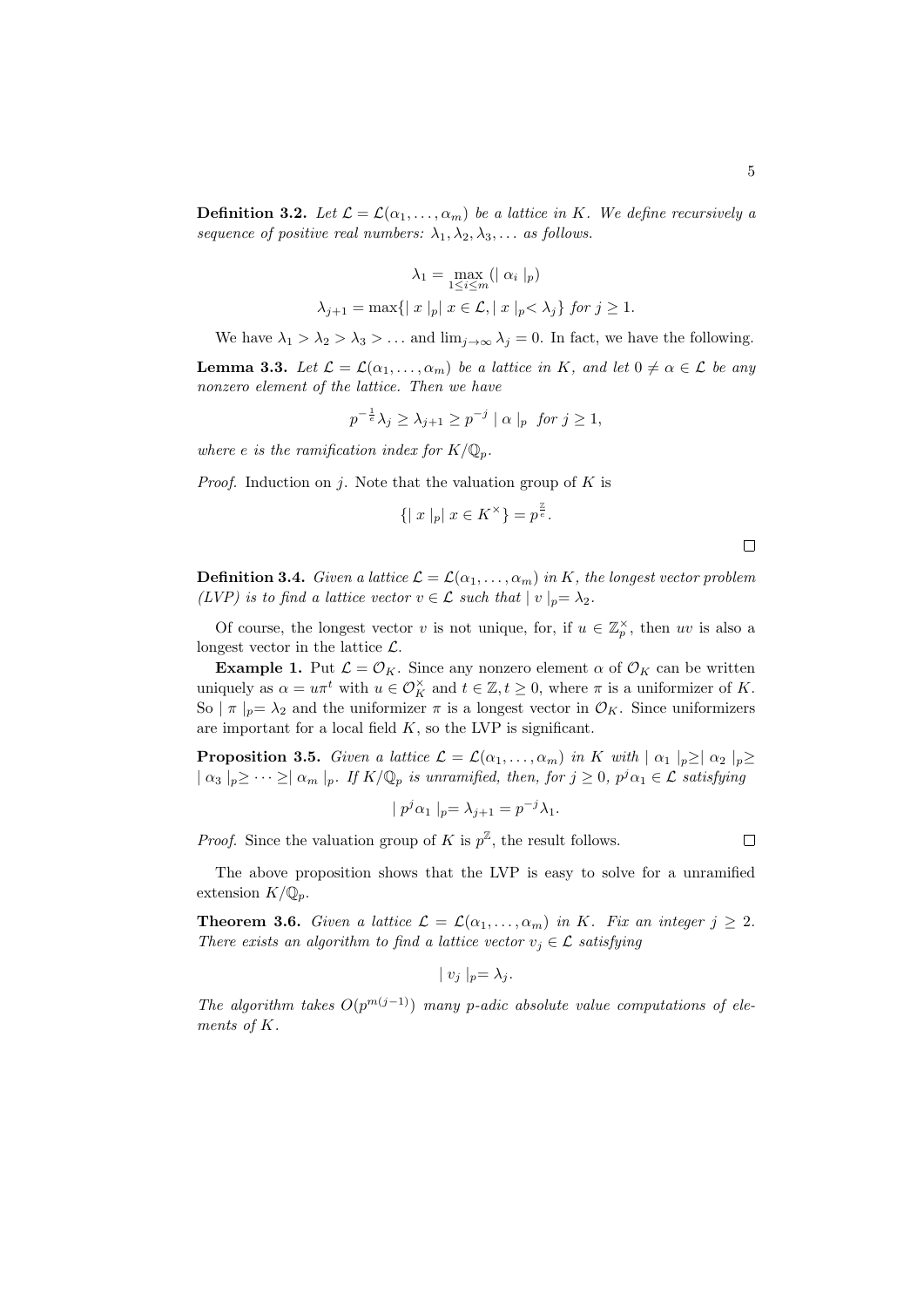**Definition 3.2.** Let  $\mathcal{L} = \mathcal{L}(\alpha_1, \dots, \alpha_m)$  be a lattice in *K.* We define recursively a *sequence of positive real numbers:*  $\lambda_1, \lambda_2, \lambda_3, \ldots$  *as follows.* 

$$
\lambda_1 = \max_{1 \le i \le m} (|\alpha_i|_p)
$$
  

$$
\lambda_{j+1} = \max\{|x|_p | x \in \mathcal{L}, |x|_p < \lambda_j\} \text{ for } j \ge 1.
$$

We have  $\lambda_1 > \lambda_2 > \lambda_3 > ...$  and  $\lim_{j \to \infty} \lambda_j = 0$ . In fact, we have the following.

**Lemma 3.3.** *Let*  $\mathcal{L} = \mathcal{L}(\alpha_1, \dots, \alpha_m)$  *be a lattice in K, and let*  $0 \neq \alpha \in \mathcal{L}$  *be any nonzero element of the lattice. Then we have*

$$
p^{-\frac{1}{e}}\lambda_j \ge \lambda_{j+1} \ge p^{-j} \mid \alpha \mid_p \text{ for } j \ge 1,
$$

*where e is the ramification index for*  $K/\mathbb{Q}_p$ *.* 

*Proof.* Induction on *j*. Note that the valuation group of *K* is

$$
\{ |x|_p | x \in K^\times \} = p^{\frac{p}{e}}.
$$

 $\Box$ 

**Definition 3.4.** *Given a lattice*  $\mathcal{L} = \mathcal{L}(\alpha_1, \dots, \alpha_m)$  *in K, the longest vector problem (LVP)* is to find a lattice vector  $v \in \mathcal{L}$  such that  $|v|_p = \lambda_2$ .

Of course, the longest vector *v* is not unique, for, if  $u \in \mathbb{Z}_p^{\times}$ , then *uv* is also a longest vector in the lattice *L*.

**Example 1.** Put  $\mathcal{L} = \mathcal{O}_K$ . Since any nonzero element  $\alpha$  of  $\mathcal{O}_K$  can be written uniquely as  $\alpha = u\pi^t$  with  $u \in \mathcal{O}_K^{\times}$  and  $t \in \mathbb{Z}, t \geq 0$ , where  $\pi$  is a uniformizer of *K*. So  $|\pi|_p = \lambda_2$  and the uniformizer  $\pi$  is a longest vector in  $\mathcal{O}_K$ . Since uniformizers are important for a local field *K*, so the LVP is significant.

**Proposition 3.5.** *Given a lattice*  $\mathcal{L} = \mathcal{L}(\alpha_1, \dots, \alpha_m)$  *in K with*  $|\alpha_1|_p \geq |\alpha_2|_p \geq$  $| \alpha_3 |_p \geq \cdots \geq | \alpha_m |_p$ . If  $K/\mathbb{Q}_p$  is unramified, then, for  $j \geq 0$ ,  $p^j \alpha_1 \in \mathcal{L}$  satisfying

$$
|p^j \alpha_1|_p = \lambda_{j+1} = p^{-j} \lambda_1.
$$

*Proof.* Since the valuation group of *K* is  $p^{\mathbb{Z}}$ , the result follows.

 $\Box$ 

The above proposition shows that the LVP is easy to solve for a unramified extension  $K/\mathbb{Q}_n$ .

**Theorem 3.6.** *Given a lattice*  $\mathcal{L} = \mathcal{L}(\alpha_1, \dots, \alpha_m)$  *in K. Fix an integer*  $j \geq 2$ *. There exists an algorithm to find a lattice vector*  $v_j \in \mathcal{L}$  *satisfying* 

$$
|v_j|_p = \lambda_j.
$$

*The algorithm takes*  $O(p^{m(j-1)})$  *many p*-adic absolute value computations of ele*ments of K.*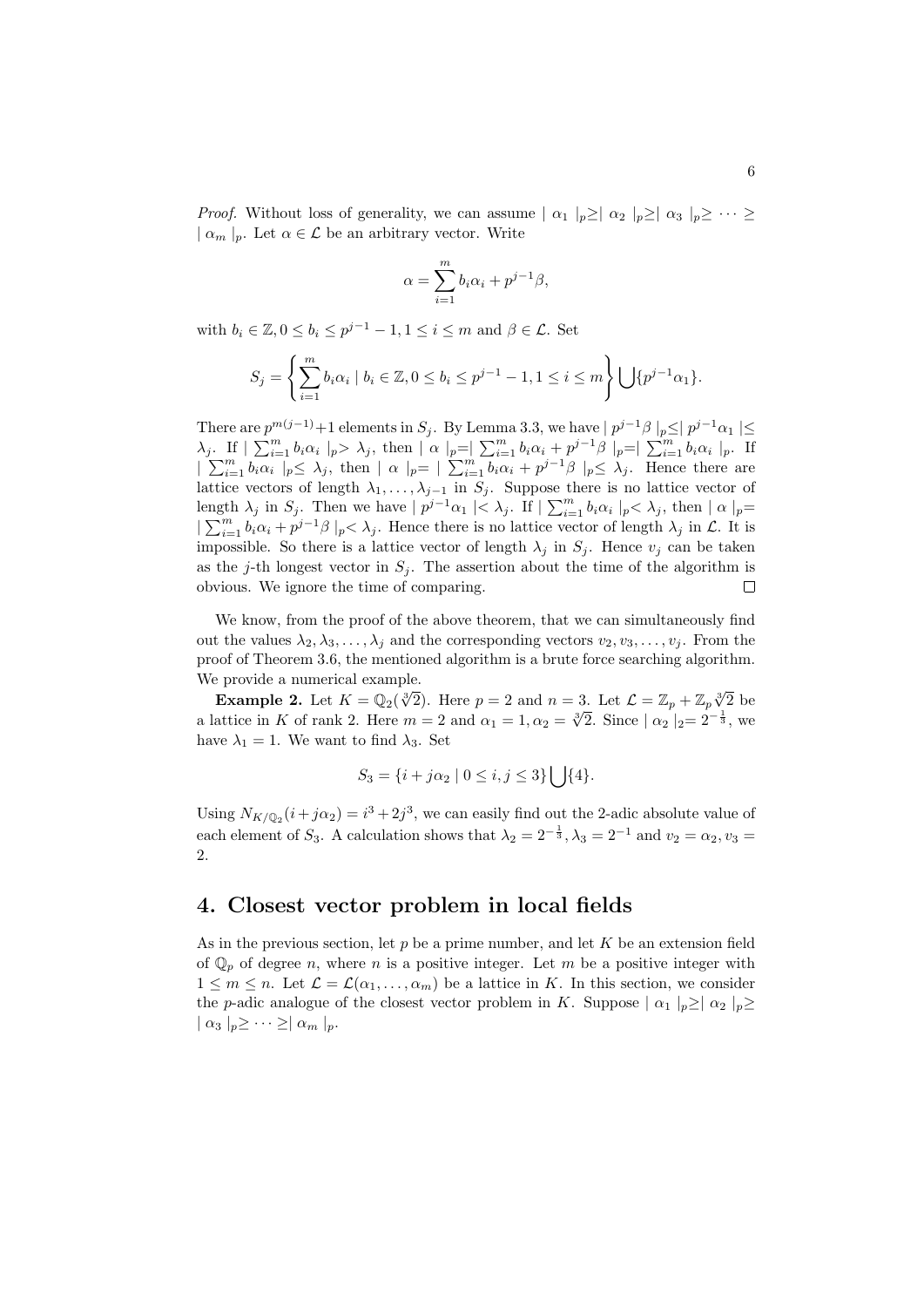*Proof.* Without loss of generality, we can assume  $| \alpha_1 |_{p} \geq | \alpha_2 |_{p} \geq | \alpha_3 |_{p} \geq \cdots \geq$ *| α<sup>m</sup> |p*. Let *α ∈ L* be an arbitrary vector. Write

$$
\alpha = \sum_{i=1}^{m} b_i \alpha_i + p^{j-1} \beta,
$$

with  $b_i \in \mathbb{Z}, 0 \le b_i \le p^{j-1} - 1, 1 \le i \le m$  and  $\beta \in \mathcal{L}$ . Set

$$
S_j = \left\{ \sum_{i=1}^m b_i \alpha_i \mid b_i \in \mathbb{Z}, 0 \le b_i \le p^{j-1} - 1, 1 \le i \le m \right\} \bigcup \{ p^{j-1} \alpha_1 \}.
$$

There are  $p^{m(j-1)}+1$  elements in  $S_j$ . By Lemma 3.3, we have  $|p^{j-1}\beta|_p \leq |p^{j-1}\alpha_1|$  ≤  $\lambda_j$ . If  $|\sum_{i=1}^m b_i \alpha_i|_p > \lambda_j$ , then  $|\alpha|_p = |\sum_{i=1}^m b_i \alpha_i + p^{j-1}\beta|_p = |\sum_{i=1}^m b_i \alpha_i|_p$ . If  $|\sum_{i=1}^m b_i \alpha_i|_p \leq \lambda_j$ , then  $|\alpha|_p = |\sum_{i=1}^m b_i \alpha_i + p^{j-1}\beta|_p \leq \lambda_j$ . Hence there are lattice vectors of length  $\lambda_1, \ldots, \lambda_{j-1}$  in  $S_j$ . Suppose there is no lattice vector of length  $\lambda_j$  in  $S_j$ . Then we have  $|p^{j-1}\alpha_1| < \lambda_j$ . If  $|\sum_{i=1}^m b_i \alpha_i|_p < \lambda_j$ , then  $|\alpha|_p =$  $| \sum_{i=1}^{m} b_i \alpha_i + p^{j-1} \beta |_p < \lambda_j$ . Hence there is no lattice vector of length  $\lambda_j$  in *L*. It is impossible. So there is a lattice vector of length  $\lambda_j$  in  $S_j$ . Hence  $v_j$  can be taken as the *j*-th longest vector in  $S_j$ . The assertion about the time of the algorithm is obvious. We ignore the time of comparing.  $\Box$ 

We know, from the proof of the above theorem, that we can simultaneously find out the values  $\lambda_2, \lambda_3, \ldots, \lambda_j$  and the corresponding vectors  $v_2, v_3, \ldots, v_j$ . From the proof of Theorem 3.6, the mentioned algorithm is a brute force searching algorithm. We provide a numerical example.

**Example 2.** Let  $K = \mathbb{Q}_2(\sqrt[3]{2})$ . Here  $p = 2$  and  $n = 3$ . Let  $\mathcal{L} = \mathbb{Z}_p + \mathbb{Z}_p\sqrt[3]{2}$  be attice in  $K$  of pank 2. Here  $m = 2$  and  $c_1 = 1$ ,  $c_2 = \sqrt[3]{2}$ . Since  $\log_2 1 = 2^{-\frac{1}{2}}$ , we a lattice in *K* of rank 2. Here  $m = 2$  and  $\alpha_1 = 1, \alpha_2 = \sqrt[3]{2}$ . Since  $|\alpha_2|_2 = 2^{-\frac{1}{3}}$ , we have  $\lambda_1 = 1$ . We want to find  $\lambda_3$ . Set

$$
S_3 = \{i + j\alpha_2 \mid 0 \le i, j \le 3\} \bigcup \{4\}.
$$

Using  $N_{K/\mathbb{Q}_2}(i + j\alpha_2) = i^3 + 2j^3$ , we can easily find out the 2-adic absolute value of each element of  $S_3$ . A calculation shows that  $\lambda_2 = 2^{-\frac{1}{3}}, \lambda_3 = 2^{-1}$  and  $v_2 = \alpha_2, v_3 =$ 2.

#### **4. Closest vector problem in local fields**

As in the previous section, let *p* be a prime number, and let *K* be an extension field of  $\mathbb{Q}_p$  of degree *n*, where *n* is a positive integer. Let *m* be a positive integer with  $1 \leq m \leq n$ . Let  $\mathcal{L} = \mathcal{L}(\alpha_1, \dots, \alpha_m)$  be a lattice in *K*. In this section, we consider the *p*-adic analogue of the closest vector problem in *K*. Suppose  $| \alpha_1 |_{p} \geq | \alpha_2 |_{p} \geq$  $| \alpha_3 |_p \geq \cdots \geq | \alpha_m |_p$ .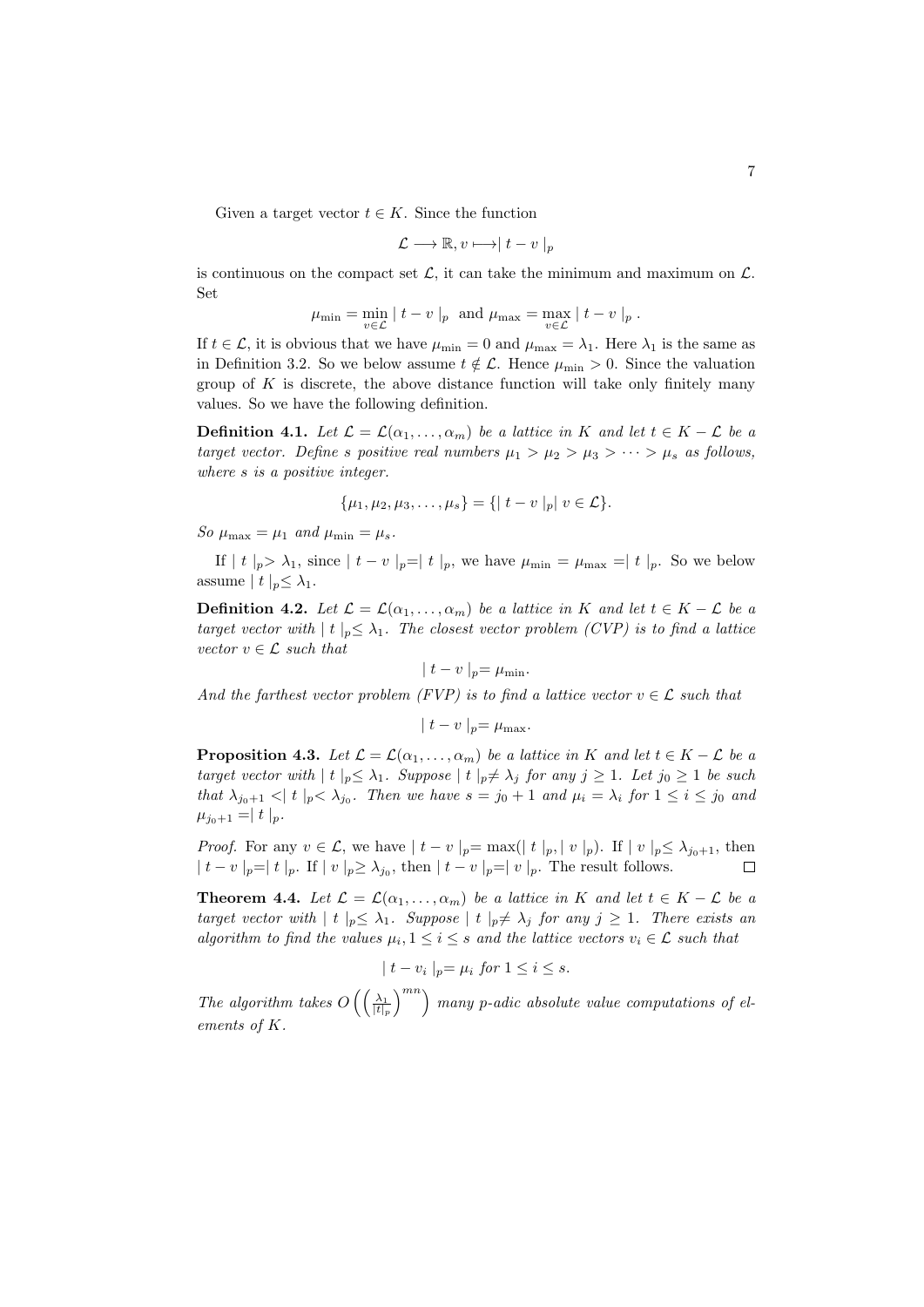Given a target vector  $t \in K$ . Since the function

$$
\mathcal{L} \longrightarrow \mathbb{R}, v \longmapsto |t - v|_p
$$

is continuous on the compact set  $\mathcal{L}$ , it can take the minimum and maximum on  $\mathcal{L}$ . Set

$$
\mu_{\min} = \min_{v \in \mathcal{L}} |t - v|_p \text{ and } \mu_{\max} = \max_{v \in \mathcal{L}} |t - v|_p.
$$

If  $t \in \mathcal{L}$ , it is obvious that we have  $\mu_{\min} = 0$  and  $\mu_{\max} = \lambda_1$ . Here  $\lambda_1$  is the same as in Definition 3.2. So we below assume  $t \notin \mathcal{L}$ . Hence  $\mu_{\min} > 0$ . Since the valuation group of *K* is discrete, the above distance function will take only finitely many values. So we have the following definition.

**Definition 4.1.** *Let*  $\mathcal{L} = \mathcal{L}(\alpha_1, \dots, \alpha_m)$  *be a lattice in K and let*  $t \in K - \mathcal{L}$  *be a target vector. Define s positive real numbers*  $\mu_1 > \mu_2 > \mu_3 > \cdots > \mu_s$  *as follows, where s is a positive integer.*

$$
\{\mu_1, \mu_2, \mu_3, \ldots, \mu_s\} = \{ |t - v|_p | v \in \mathcal{L} \}.
$$

*So*  $\mu_{\text{max}} = \mu_1$  *and*  $\mu_{\text{min}} = \mu_s$ *.* 

If  $|t|_p > \lambda_1$ , since  $|t - v|_p = |t|_p$ , we have  $\mu_{\min} = \mu_{\max} = |t|_p$ . So we below assume  $|t|_p \leq \lambda_1$ .

**Definition 4.2.** *Let*  $\mathcal{L} = \mathcal{L}(\alpha_1, \dots, \alpha_m)$  *be a lattice in K and let*  $t \in K - \mathcal{L}$  *be a target vector with*  $|t|_p \leq \lambda_1$ . The closest vector problem (CVP) is to find a lattice *vector*  $v \in \mathcal{L}$  *such that* 

$$
|t-v|_p=\mu_{\min}.
$$

*And the farthest vector problem (FVP) is to find a lattice vector*  $v \in \mathcal{L}$  *such that* 

$$
|t - v|_p = \mu_{\max}.
$$

**Proposition 4.3.** *Let*  $\mathcal{L} = \mathcal{L}(\alpha_1, \dots, \alpha_m)$  *be a lattice in K and let*  $t \in K - \mathcal{L}$  *be a* target vector with  $|t|_p \leq \lambda_1$ . Suppose  $|t|_p \neq \lambda_j$  for any  $j \geq 1$ . Let  $j_0 \geq 1$  be such that  $\lambda_{j_0+1}$   $\langle |t|_p \langle \lambda_{j_0} \rangle$ . Then we have  $s = j_0 + 1$  and  $\mu_i = \lambda_i$  for  $1 \le i \le j_0$  and  $\mu_{j_0+1} = |t|_p$ .

*Proof.* For any  $v \in \mathcal{L}$ , we have  $|t - v|_p = \max(|t|_p, |v|_p)$ . If  $|v|_p \leq \lambda_{j_0+1}$ , then  $|t-v|_p=|t|_p$ . If  $|v|_p \geq \lambda_{j_0}$ , then  $|t-v|_p=|v|_p$ . The result follows.  $\Box$ 

**Theorem 4.4.** *Let*  $\mathcal{L} = \mathcal{L}(\alpha_1, \dots, \alpha_m)$  *be a lattice in K and let*  $t \in K - \mathcal{L}$  *be a target vector with*  $|t|_p \leq \lambda_1$ *. Suppose*  $|t|_p \neq \lambda_j$  *for any*  $j \geq 1$ *. There exists an algorithm to find the values*  $\mu_i, 1 \leq i \leq s$  *and the lattice vectors*  $v_i \in \mathcal{L}$  *such that* 

$$
|t - v_i|_p = \mu_i \text{ for } 1 \leq i \leq s.
$$

*The algorithm takes*  $O\left(\frac{\lambda_1}{|t|}\right)$ *|t|<sup>p</sup>* )*mn*) *many p-adic absolute value computations of elements of K.*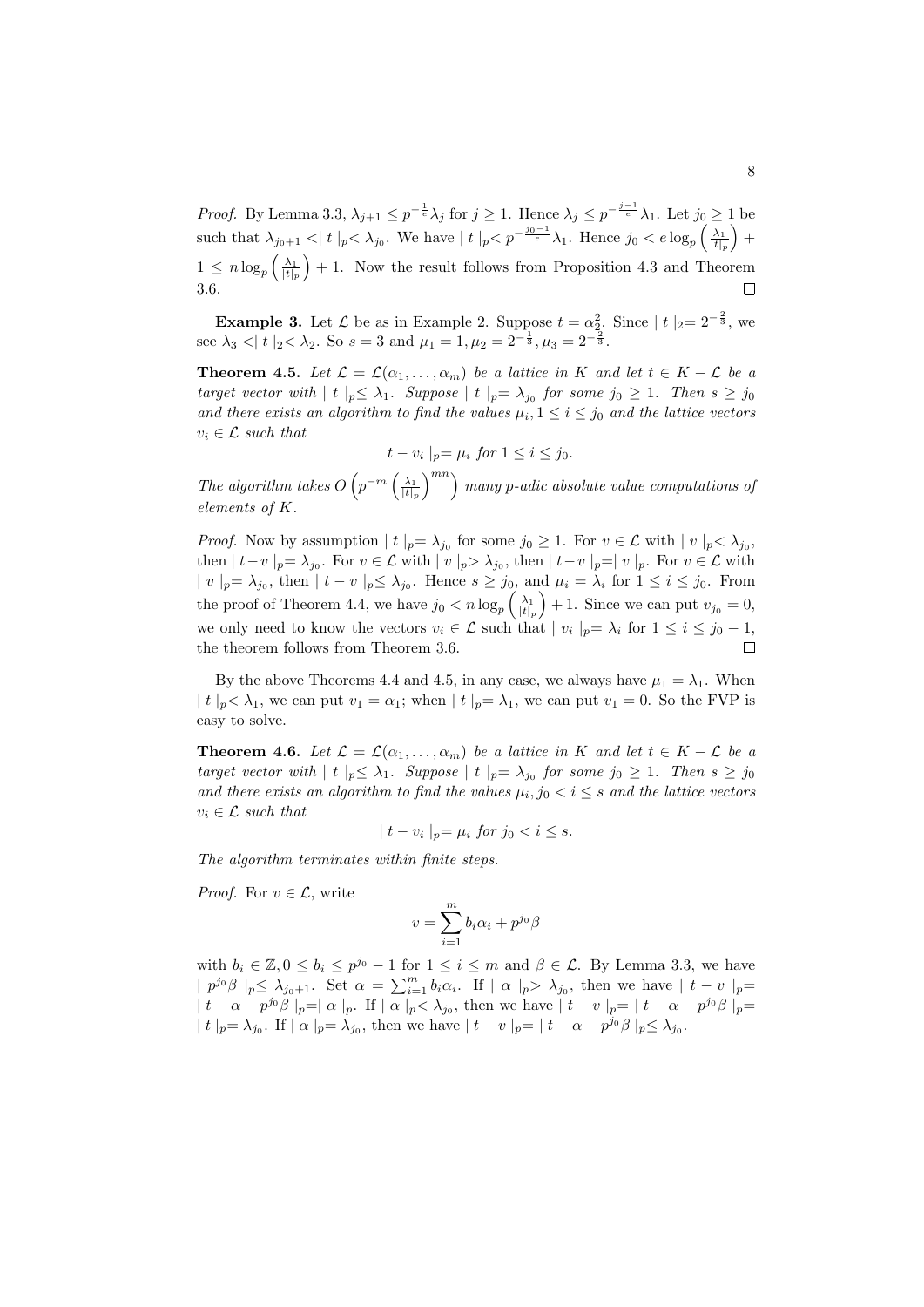*Proof.* By Lemma 3.3,  $\lambda_{j+1} \leq p^{-\frac{1}{e}} \lambda_j$  for  $j \geq 1$ . Hence  $\lambda_j \leq p^{-\frac{j-1}{e}} \lambda_1$ . Let  $j_0 \geq 1$  be such that  $\lambda_{j_0+1}$   $\lt |t|_p$   $\lt \lambda_{j_0}$ . We have  $|t|_p$   $\lt p^{-\frac{j_0-1}{e}}\lambda_1$ . Hence  $j_0$   $\lt e$   $\log_p\left(\frac{\lambda_1}{|t|_p}\right)$  $+$  $1 \leq n \log_p \left( \frac{\lambda_1}{|t|_p} \right)$  $+1$ . Now the result follows from Proposition 4.3 and Theorem 3.6.  $\Box$ 

**Example 3.** Let *L* be as in Example 2. Suppose  $t = \alpha_2^2$ . Since  $|t|_2 = 2^{-\frac{2}{3}}$ , we see  $\lambda_3 < |t|_2 < \lambda_2$ . So  $s = 3$  and  $\mu_1 = 1, \mu_2 = 2^{-\frac{1}{3}}, \mu_3 = 2^{-\frac{2}{3}}$ .

**Theorem 4.5.** *Let*  $\mathcal{L} = \mathcal{L}(\alpha_1, \dots, \alpha_m)$  *be a lattice in K and let*  $t \in K - \mathcal{L}$  *be a* target vector with  $|t|_p \leq \lambda_1$ . Suppose  $|t|_p = \lambda_{j_0}$  for some  $j_0 \geq 1$ . Then  $s \geq j_0$ *and there exists an algorithm to find the values*  $\mu_i, 1 \leq i \leq j_0$  *and the lattice vectors*  $v_i \in \mathcal{L}$  *such that* 

$$
|t - v_i|_p = \mu_i \text{ for } 1 \le i \le j_0.
$$

*The algorithm takes*  $O\left(p^{-m}\left(\frac{\lambda_1}{|t|_p}\right)\right)$ )*mn*) *many p-adic absolute value computations of elements of K.*

*Proof.* Now by assumption  $|t|_p = \lambda_{j_0}$  for some  $j_0 \geq 1$ . For  $v \in \mathcal{L}$  with  $|v|_p < \lambda_{j_0}$ , then  $|t-v|_p = \lambda_{j_0}$ . For  $v \in \mathcal{L}$  with  $|v|_p > \lambda_{j_0}$ , then  $|t-v|_p = |v|_p$ . For  $v \in \mathcal{L}$  with  $|v|_p = \lambda_{j_0}$ , then  $|t - v|_p \leq \lambda_{j_0}$ . Hence  $s \geq j_0$ , and  $\mu_i = \lambda_i$  for  $1 \leq i \leq j_0$ . From the proof of Theorem 4.4, we have  $j_0 < n \log_p \left( \frac{\lambda_1}{|t|_p} \right)$  $+1$ . Since we can put  $v_{j_0} = 0$ , we only need to know the vectors  $v_i \in \mathcal{L}$  such that  $|v_i|_p = \lambda_i$  for  $1 \le i \le j_0 - 1$ , the theorem follows from Theorem 3.6.

By the above Theorems 4.4 and 4.5, in any case, we always have  $\mu_1 = \lambda_1$ . When  $|t|_p < \lambda_1$ , we can put  $v_1 = \alpha_1$ ; when  $|t|_p = \lambda_1$ , we can put  $v_1 = 0$ . So the FVP is easy to solve.

**Theorem 4.6.** *Let*  $\mathcal{L} = \mathcal{L}(\alpha_1, \dots, \alpha_m)$  *be a lattice in K and let*  $t \in K - \mathcal{L}$  *be a* target vector with  $|t|_p \leq \lambda_1$ . Suppose  $|t|_p = \lambda_{j_0}$  for some  $j_0 \geq 1$ . Then  $s \geq j_0$ *and there exists an algorithm to find the values*  $\mu_i, j_0 < i \leq s$  *and the lattice vectors*  $v_i \in \mathcal{L}$  *such that* 

$$
|t - v_i|_p = \mu_i \text{ for } j_0 < i \leq s.
$$

*The algorithm terminates within finite steps.*

*Proof.* For  $v \in \mathcal{L}$ , write

$$
v = \sum_{i=1}^{m} b_i \alpha_i + p^{j_0} \beta
$$

with  $b_i \in \mathbb{Z}, 0 \leq b_i \leq p^{j_0} - 1$  for  $1 \leq i \leq m$  and  $\beta \in \mathcal{L}$ . By Lemma 3.3, we have  $|p^{j_0}\beta|_p \leq \lambda_{j_0+1}$ . Set  $\alpha = \sum_{i=1}^m b_i \alpha_i$ . If  $|\alpha|_p > \lambda_{j_0}$ , then we have  $|t - v|_p =$  $|t-\alpha-p^{j_0}\beta|_p=|\alpha|_p$ . If  $|\alpha|_p<\lambda_{j_0}$ , then we have  $|t-v|_p=|t-\alpha-p^{j_0}\beta|_p=$  $|t|_p = \lambda_{j_0}$ . If  $| \alpha |_p = \lambda_{j_0}$ , then we have  $|t - v|_p = |t - \alpha - p^{j_0} \beta|_p \leq \lambda_{j_0}$ .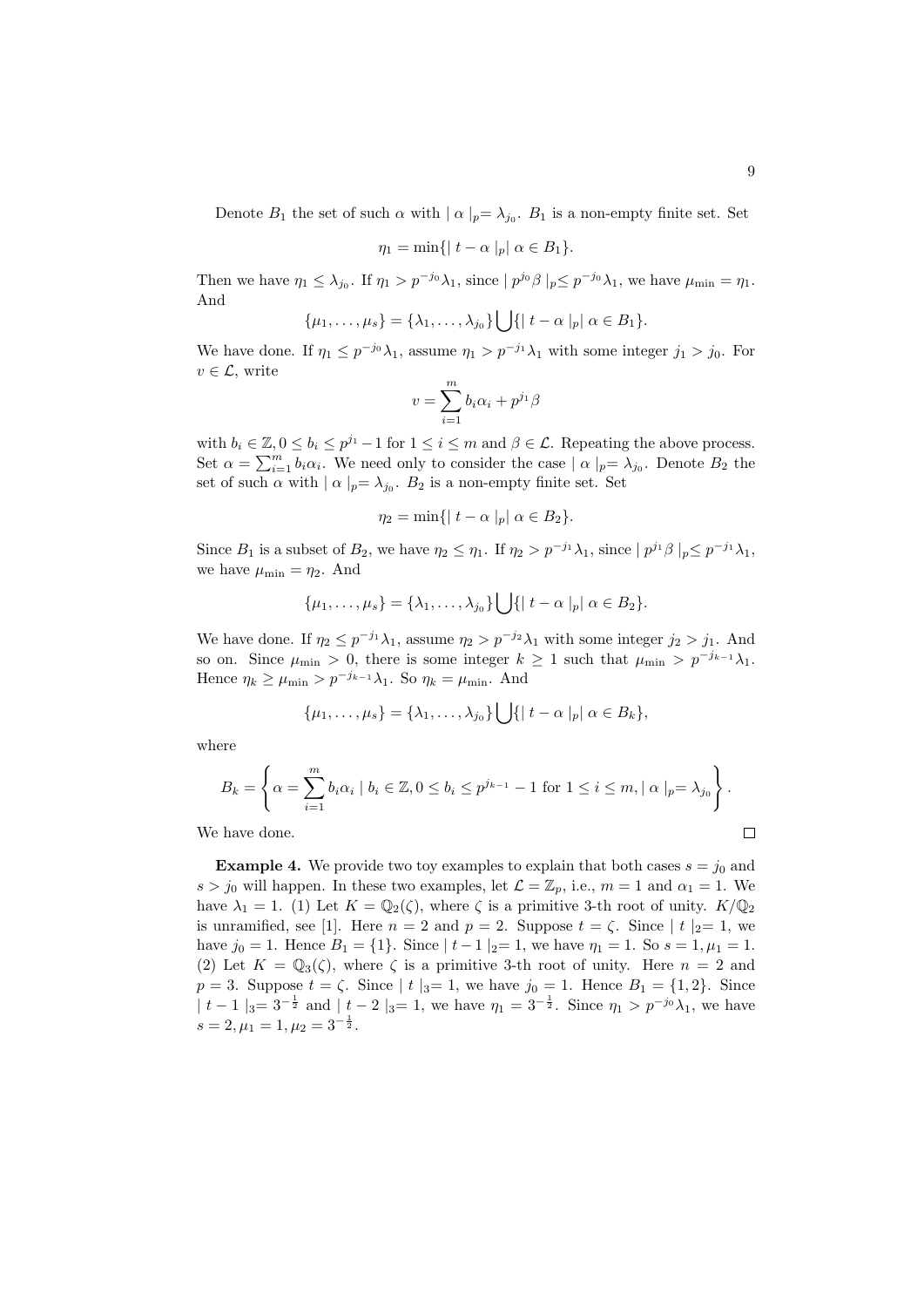Denote  $B_1$  the set of such  $\alpha$  with  $|\alpha|_p = \lambda_{j_0}$ .  $B_1$  is a non-empty finite set. Set

$$
\eta_1 = \min\{|t - \alpha|_p| \alpha \in B_1\}.
$$

Then we have  $\eta_1 \leq \lambda_{j_0}$ . If  $\eta_1 > p^{-j_0} \lambda_1$ , since  $|p^{j_0}\beta|_p \leq p^{-j_0} \lambda_1$ , we have  $\mu_{\min} = \eta_1$ . And

$$
\{\mu_1, \ldots, \mu_s\} = \{\lambda_1, \ldots, \lambda_{j_0}\} \bigcup \{|t - \alpha|_p| \alpha \in B_1\}.
$$

We have done. If  $\eta_1 \leq p^{-j_0} \lambda_1$ , assume  $\eta_1 > p^{-j_1} \lambda_1$  with some integer  $j_1 > j_0$ . For  $v \in \mathcal{L}$ , write

$$
v = \sum_{i=1}^{m} b_i \alpha_i + p^{j_1} \beta
$$

with  $b_i \in \mathbb{Z}, 0 \leq b_i \leq p^{j_1} - 1$  for  $1 \leq i \leq m$  and  $\beta \in \mathcal{L}$ . Repeating the above process. Set  $\alpha = \sum_{i=1}^{m} b_i \alpha_i$ . We need only to consider the case  $| \alpha |_{p} = \lambda_{j_0}$ . Denote  $B_2$  the set of such  $\alpha$  with  $| \alpha |_{p} = \lambda_{j_0}$ .  $B_2$  is a non-empty finite set. Set

$$
\eta_2 = \min\{|t - \alpha|_p| \alpha \in B_2\}.
$$

Since  $B_1$  is a subset of  $B_2$ , we have  $\eta_2 \leq \eta_1$ . If  $\eta_2 > p^{-j_1} \lambda_1$ , since  $|p^{j_1} \beta|_p \leq p^{-j_1} \lambda_1$ , we have  $\mu_{\min} = \eta_2$ . And

$$
\{\mu_1, \ldots, \mu_s\} = \{\lambda_1, \ldots, \lambda_{j_0}\} \bigcup \{|t - \alpha|_p| \alpha \in B_2\}.
$$

We have done. If  $\eta_2 \leq p^{-j_1} \lambda_1$ , assume  $\eta_2 > p^{-j_2} \lambda_1$  with some integer  $j_2 > j_1$ . And so on. Since  $\mu_{\min} > 0$ , there is some integer  $k \geq 1$  such that  $\mu_{\min} > p^{-j_{k-1}}\lambda_1$ . Hence  $\eta_k \ge \mu_{\min} > p^{-j_{k-1}}\lambda_1$ . So  $\eta_k = \mu_{\min}$ . And

$$
\{\mu_1,\ldots,\mu_s\}=\{\lambda_1,\ldots,\lambda_{j_0}\}\bigcup\{|t-\alpha|_p|\alpha\in B_k\},\
$$

where

$$
B_k = \left\{ \alpha = \sum_{i=1}^m b_i \alpha_i \mid b_i \in \mathbb{Z}, 0 \le b_i \le p^{j_{k-1}} - 1 \text{ for } 1 \le i \le m, \mid \alpha \mid_p = \lambda_{j_0} \right\}.
$$

We have done.

**Example 4.** We provide two toy examples to explain that both cases 
$$
s = j_0
$$
 and  $s > j_0$  will happen. In these two examples, let  $\mathcal{L} = \mathbb{Z}_p$ , i.e.,  $m = 1$  and  $\alpha_1 = 1$ . We have  $\lambda_1 = 1$ . (1) Let  $K = \mathbb{Q}_2(\zeta)$ , where  $\zeta$  is a primitive 3-th root of unity.  $K/\mathbb{Q}_2$  is unramified, see [1]. Here  $n = 2$  and  $p = 2$ . Suppose  $t = \zeta$ . Since  $|t|_2 = 1$ , we have  $j_0 = 1$ . Hence  $B_1 = \{1\}$ . Since  $|t - 1|_2 = 1$ , we have  $\eta_1 = 1$ . So  $s = 1, \mu_1 = 1$ . (2) Let  $K = \mathbb{Q}_3(\zeta)$ , where  $\zeta$  is a primitive 3-th root of unity. Here  $n = 2$  and  $p = 3$ . Suppose  $t = \zeta$ . Since  $|t|_3 = 1$ , we have  $j_0 = 1$ . Hence  $B_1 = \{1, 2\}$ . Since  $|t - 1|_3 = 3^{-\frac{1}{2}}$  and  $|t - 2|_3 = 1$ , we have  $\eta_1 = 3^{-\frac{1}{2}}$ . Since  $\eta_1 > p^{-j_0}\lambda_1$ , we have  $s = 2, \mu_1 = 1, \mu_2 = 3^{-\frac{1}{2}}$ .

 $\Box$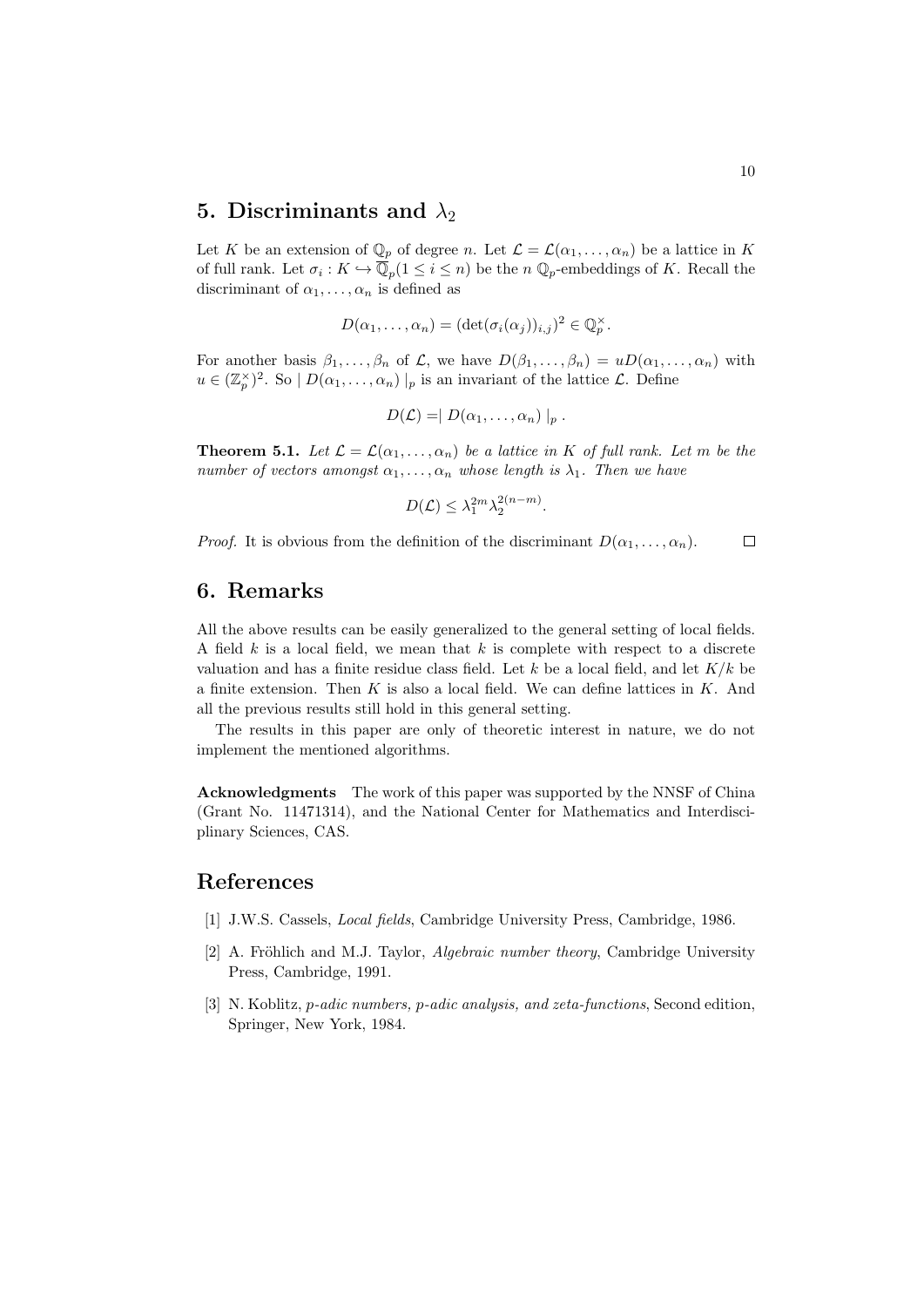# **5.** Discriminants and  $\lambda_2$

Let *K* be an extension of  $\mathbb{Q}_p$  of degree *n*. Let  $\mathcal{L} = \mathcal{L}(\alpha_1, \dots, \alpha_n)$  be a lattice in *K* of full rank. Let  $\sigma_i: K \hookrightarrow \mathbb{Q}_p(1 \leq i \leq n)$  be the *n*  $\mathbb{Q}_p$ -embeddings of *K*. Recall the discriminant of  $\alpha_1, \ldots, \alpha_n$  is defined as

$$
D(\alpha_1,\ldots,\alpha_n)=(\det(\sigma_i(\alpha_j))_{i,j})^2\in\mathbb{Q}_p^\times.
$$

For another basis  $\beta_1, \ldots, \beta_n$  of  $\mathcal{L}$ , we have  $D(\beta_1, \ldots, \beta_n) = uD(\alpha_1, \ldots, \alpha_n)$  with  $u \in (\mathbb{Z}_p^{\times})^2$ . So  $|D(\alpha_1, \ldots, \alpha_n)|_p$  is an invariant of the lattice *L*. Define

$$
D(\mathcal{L}) = | D(\alpha_1, \ldots, \alpha_n) |_p.
$$

**Theorem 5.1.** *Let*  $\mathcal{L} = \mathcal{L}(\alpha_1, \dots, \alpha_n)$  *be a lattice in K of full rank. Let m be the number of vectors amongst*  $\alpha_1, \ldots, \alpha_n$  *whose length is*  $\lambda_1$ *. Then we have* 

$$
D(\mathcal{L}) \leq \lambda_1^{2m} \lambda_2^{2(n-m)}.
$$

*Proof.* It is obvious from the definition of the discriminant  $D(\alpha_1, \ldots, \alpha_n)$ .  $\Box$ 

### **6. Remarks**

All the above results can be easily generalized to the general setting of local fields. A field *k* is a local field, we mean that *k* is complete with respect to a discrete valuation and has a finite residue class field. Let *k* be a local field, and let *K/k* be a finite extension. Then *K* is also a local field. We can define lattices in *K*. And all the previous results still hold in this general setting.

The results in this paper are only of theoretic interest in nature, we do not implement the mentioned algorithms.

**Acknowledgments** The work of this paper was supported by the NNSF of China (Grant No. 11471314), and the National Center for Mathematics and Interdisciplinary Sciences, CAS.

## **References**

- [1] J.W.S. Cassels, *Local fields*, Cambridge University Press, Cambridge, 1986.
- [2] A. Fröhlich and M.J. Taylor, *Algebraic number theory*, Cambridge University Press, Cambridge, 1991.
- [3] N. Koblitz, *p-adic numbers, p-adic analysis, and zeta-functions*, Second edition, Springer, New York, 1984.